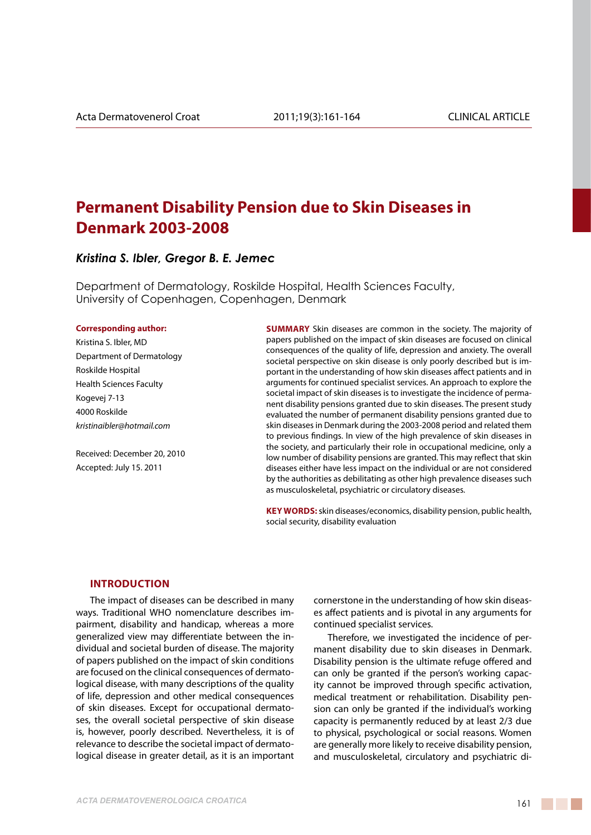# **Permanent Disability Pension due to Skin Diseases in Denmark 2003-2008**

## *Kristina S. Ibler, Gregor B. E. Jemec*

Department of Dermatology, Roskilde Hospital, Health Sciences Faculty, University of Copenhagen, Copenhagen, Denmark

#### **Corresponding author:**

Kristina S. Ibler, MD Department of Dermatology Roskilde Hospital Health Sciences Faculty Kogevej 7-13 4000 Roskilde *kristinaibler@hotmail.com*

Received: December 20, 2010 Accepted: July 15. 2011

**SUMMARY** Skin diseases are common in the society. The majority of papers published on the impact of skin diseases are focused on clinical consequences of the quality of life, depression and anxiety. The overall societal perspective on skin disease is only poorly described but is important in the understanding of how skin diseases affect patients and in arguments for continued specialist services. An approach to explore the societal impact of skin diseases is to investigate the incidence of permanent disability pensions granted due to skin diseases. The present study evaluated the number of permanent disability pensions granted due to skin diseases in Denmark during the 2003-2008 period and related them to previous findings. In view of the high prevalence of skin diseases in the society, and particularly their role in occupational medicine, only a low number of disability pensions are granted. This may reflect that skin diseases either have less impact on the individual or are not considered by the authorities as debilitating as other high prevalence diseases such as musculoskeletal, psychiatric or circulatory diseases.

**KEY WORDS:** skin diseases/economics, disability pension, public health, social security, disability evaluation

#### **Introduction**

The impact of diseases can be described in many ways. Traditional WHO nomenclature describes impairment, disability and handicap, whereas a more generalized view may differentiate between the individual and societal burden of disease. The majority of papers published on the impact of skin conditions are focused on the clinical consequences of dermatological disease, with many descriptions of the quality of life, depression and other medical consequences of skin diseases. Except for occupational dermatoses, the overall societal perspective of skin disease is, however, poorly described. Nevertheless, it is of relevance to describe the societal impact of dermatological disease in greater detail, as it is an important cornerstone in the understanding of how skin diseases affect patients and is pivotal in any arguments for continued specialist services.

Therefore, we investigated the incidence of permanent disability due to skin diseases in Denmark. Disability pension is the ultimate refuge offered and can only be granted if the person's working capacity cannot be improved through specific activation, medical treatment or rehabilitation. Disability pension can only be granted if the individual's working capacity is permanently reduced by at least 2/3 due to physical, psychological or social reasons. Women are generally more likely to receive disability pension, and musculoskeletal, circulatory and psychiatric di-

and the control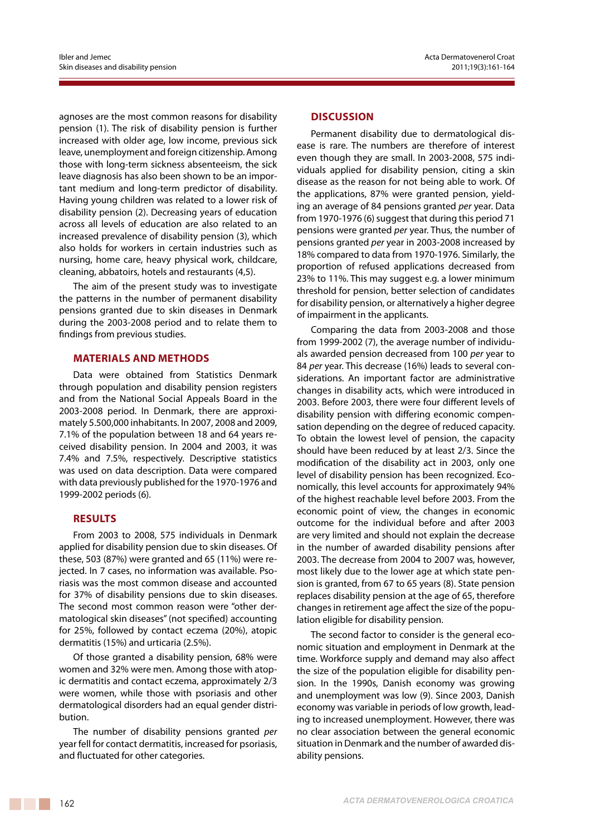agnoses are the most common reasons for disability pension (1). The risk of disability pension is further increased with older age, low income, previous sick leave, unemployment and foreign citizenship.Among those with long-term sickness absenteeism, the sick leave diagnosis has also been shown to be an important medium and long-term predictor of disability. Having young children was related to a lower risk of disability pension (2). Decreasing years of education across all levels of education are also related to an increased prevalence of disability pension (3), which also holds for workers in certain industries such as nursing, home care, heavy physical work, childcare, cleaning, abbatoirs, hotels and restaurants (4,5).

The aim of the present study was to investigate the patterns in the number of permanent disability pensions granted due to skin diseases in Denmark during the 2003-2008 period and to relate them to findings from previous studies.

### **materials and Methods**

Data were obtained from Statistics Denmark through population and disability pension registers and from the National Social Appeals Board in the 2003-2008 period. In Denmark, there are approximately 5.500,000 inhabitants. In 2007, 2008 and 2009, 7.1% of the population between 18 and 64 years received disability pension. In 2004 and 2003, it was 7.4% and 7.5%, respectively. Descriptive statistics was used on data description. Data were compared with data previously published for the 1970-1976 and 1999-2002 periods (6).

### **Results**

From 2003 to 2008, 575 individuals in Denmark applied for disability pension due to skin diseases. Of these, 503 (87%) were granted and 65 (11%) were rejected. In 7 cases, no information was available. Psoriasis was the most common disease and accounted for 37% of disability pensions due to skin diseases. The second most common reason were "other dermatological skin diseases" (not specified) accounting for 25%, followed by contact eczema (20%), atopic dermatitis (15%) and urticaria (2.5%).

Of those granted a disability pension, 68% were women and 32% were men. Among those with atopic dermatitis and contact eczema, approximately 2/3 were women, while those with psoriasis and other dermatological disorders had an equal gender distribution.

The number of disability pensions granted *per*  year fell for contact dermatitis, increased for psoriasis, and fluctuated for other categories.

#### **Discussion**

Permanent disability due to dermatological disease is rare. The numbers are therefore of interest even though they are small. In 2003-2008, 575 individuals applied for disability pension, citing a skin disease as the reason for not being able to work. Of the applications, 87% were granted pension, yielding an average of 84 pensions granted *per* year. Data from 1970-1976 (6) suggest that during this period 71 pensions were granted *per* year. Thus, the number of pensions granted *per* year in 2003-2008 increased by 18% compared to data from 1970-1976. Similarly, the proportion of refused applications decreased from 23% to 11%. This may suggest e.g. a lower minimum threshold for pension, better selection of candidates for disability pension, or alternatively a higher degree of impairment in the applicants.

Comparing the data from 2003-2008 and those from 1999-2002 (7), the average number of individuals awarded pension decreased from 100 *per* year to 84 *per* year. This decrease (16%) leads to several considerations. An important factor are administrative changes in disability acts, which were introduced in 2003. Before 2003, there were four different levels of disability pension with differing economic compensation depending on the degree of reduced capacity. To obtain the lowest level of pension, the capacity should have been reduced by at least 2/3. Since the modification of the disability act in 2003, only one level of disability pension has been recognized. Economically, this level accounts for approximately 94% of the highest reachable level before 2003. From the economic point of view, the changes in economic outcome for the individual before and after 2003 are very limited and should not explain the decrease in the number of awarded disability pensions after 2003. The decrease from 2004 to 2007 was, however, most likely due to the lower age at which state pension is granted, from 67 to 65 years (8). State pension replaces disability pension at the age of 65, therefore changes in retirement age affect the size of the population eligible for disability pension.

The second factor to consider is the general economic situation and employment in Denmark at the time. Workforce supply and demand may also affect the size of the population eligible for disability pension. In the 1990s, Danish economy was growing and unemployment was low (9). Since 2003, Danish economy was variable in periods of low growth, leading to increased unemployment. However, there was no clear association between the general economic situation in Denmark and the number of awarded disability pensions.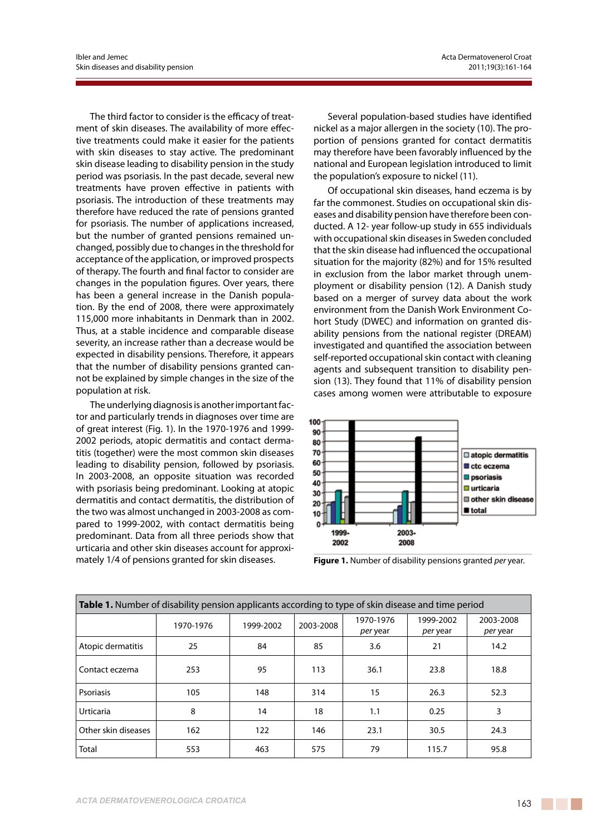The third factor to consider is the efficacy of treatment of skin diseases. The availability of more effective treatments could make it easier for the patients with skin diseases to stay active. The predominant skin disease leading to disability pension in the study period was psoriasis. In the past decade, several new treatments have proven effective in patients with psoriasis. The introduction of these treatments may therefore have reduced the rate of pensions granted for psoriasis. The number of applications increased, but the number of granted pensions remained unchanged, possibly due to changes in the threshold for acceptance of the application, or improved prospects of therapy. The fourth and final factor to consider are changes in the population figures. Over years, there has been a general increase in the Danish population. By the end of 2008, there were approximately 115,000 more inhabitants in Denmark than in 2002. Thus, at a stable incidence and comparable disease severity, an increase rather than a decrease would be expected in disability pensions. Therefore, it appears that the number of disability pensions granted cannot be explained by simple changes in the size of the population at risk.

The underlying diagnosis is another important factor and particularly trends in diagnoses over time are of great interest (Fig. 1). In the 1970-1976 and 1999- 2002 periods, atopic dermatitis and contact dermatitis (together) were the most common skin diseases leading to disability pension, followed by psoriasis. In 2003-2008, an opposite situation was recorded with psoriasis being predominant. Looking at atopic dermatitis and contact dermatitis, the distribution of the two was almost unchanged in 2003-2008 as compared to 1999-2002, with contact dermatitis being predominant. Data from all three periods show that urticaria and other skin diseases account for approximately 1/4 of pensions granted for skin diseases.

Several population-based studies have identified nickel as a major allergen in the society (10). The proportion of pensions granted for contact dermatitis may therefore have been favorably influenced by the national and European legislation introduced to limit the population's exposure to nickel (11).

Of occupational skin diseases, hand eczema is by far the commonest. Studies on occupational skin diseases and disability pension have therefore been conducted. A 12- year follow-up study in 655 individuals with occupational skin diseases in Sweden concluded that the skin disease had influenced the occupational situation for the majority (82%) and for 15% resulted in exclusion from the labor market through unemployment or disability pension (12). A Danish study based on a merger of survey data about the work environment from the Danish Work Environment Cohort Study (DWEC) and information on granted disability pensions from the national register (DREAM) investigated and quantified the association between self-reported occupational skin contact with cleaning agents and subsequent transition to disability pension (13). They found that 11% of disability pension cases among women were attributable to exposure



**Figure 1.** Number of disability pensions granted *per* year.

| <b>Table 1.</b> Number of disability pension applicants according to type of skin disease and time period |           |           |           |                       |                       |                       |
|-----------------------------------------------------------------------------------------------------------|-----------|-----------|-----------|-----------------------|-----------------------|-----------------------|
|                                                                                                           | 1970-1976 | 1999-2002 | 2003-2008 | 1970-1976<br>per year | 1999-2002<br>per year | 2003-2008<br>per year |
| Atopic dermatitis                                                                                         | 25        | 84        | 85        | 3.6                   | 21                    | 14.2                  |
| Contact eczema                                                                                            | 253       | 95        | 113       | 36.1                  | 23.8                  | 18.8                  |
| Psoriasis                                                                                                 | 105       | 148       | 314       | 15                    | 26.3                  | 52.3                  |
| <b>Urticaria</b>                                                                                          | 8         | 14        | 18        | 1.1                   | 0.25                  | 3                     |
| Other skin diseases                                                                                       | 162       | 122       | 146       | 23.1                  | 30.5                  | 24.3                  |
| Total                                                                                                     | 553       | 463       | 575       | 79                    | 115.7                 | 95.8                  |